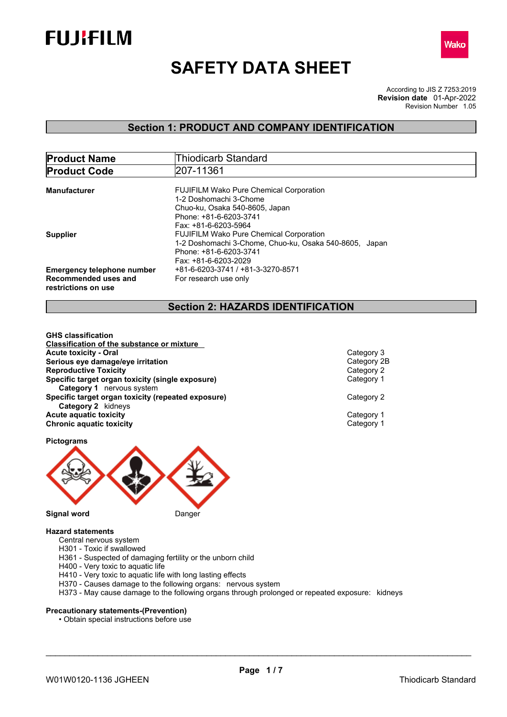



# **SAFETY DATA SHEET**

According to JIS Z 7253:2019 Revision Number 1.05 **Revision date** 01-Apr-2022

### **Section 1: PRODUCT AND COMPANY IDENTIFICATION**

| <b>Product Name</b>                                                              | <b>Thiodicarb Standard</b>                                                                                                                                   |
|----------------------------------------------------------------------------------|--------------------------------------------------------------------------------------------------------------------------------------------------------------|
| <b>Product Code</b>                                                              | 207-11361                                                                                                                                                    |
| Manufacturer                                                                     | <b>FUJIFILM Wako Pure Chemical Corporation</b><br>1-2 Doshomachi 3-Chome<br>Chuo-ku, Osaka 540-8605, Japan<br>Phone: +81-6-6203-3741<br>Fax: +81-6-6203-5964 |
| <b>Supplier</b>                                                                  | <b>FUJIFILM Wako Pure Chemical Corporation</b><br>1-2 Doshomachi 3-Chome, Chuo-ku, Osaka 540-8605, Japan<br>Phone: +81-6-6203-3741<br>Fax: +81-6-6203-2029   |
| <b>Emergency telephone number</b><br>Recommended uses and<br>restrictions on use | +81-6-6203-3741 / +81-3-3270-8571<br>For research use only                                                                                                   |

### **Section 2: HAZARDS IDENTIFICATION**

**GHS classification Classification of the substance or mixture Acute toxicity - Oral** Category 3 **Serious eye damage/eye irritation**<br> **Reproductive Toxicity**<br>
Category 2 **Reproductive Toxicity Specific target organ toxicity (single exposure)** Category 1 **Category 1** nervous system **Specific target organ toxicity (repeated exposure)** Category 2 **Category 2** kidneys **Acute aquatic toxicity**<br> **Category 1**<br> **Category 1**<br> **Category 1 Chronic aquatic toxicity** 

**Pictograms**



### **Hazard statements**

- Central nervous system
- H301 Toxic if swallowed
- H361 Suspected of damaging fertility or the unborn child
- H400 Very toxic to aquatic life
- H410 Very toxic to aquatic life with long lasting effects
- H370 Causes damage to the following organs: nervous system
- H373 May cause damage to the following organs through prolonged or repeated exposure: kidneys

### **Precautionary statements-(Prevention)**

• Obtain special instructions before use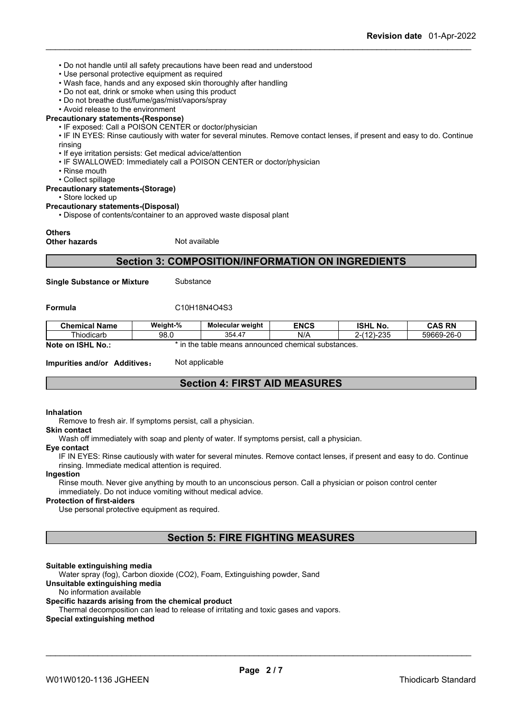- Do not handle until all safety precautions have been read and understood
- Use personal protective equipment as required
- Wash face, hands and any exposed skin thoroughly after handling
- Do not eat, drink or smoke when using this product
- Do not breathe dust/fume/gas/mist/vapors/spray
- Avoid release to the environment

### **Precautionary statements-(Response)**

• IF exposed: Call a POISON CENTER or doctor/physician

• IF IN EYES: Rinse cautiously with water for several minutes. Remove contact lenses, if present and easy to do. Continue rinsing

- If eye irritation persists: Get medical advice/attention
- IF SWALLOWED: Immediately call a POISON CENTER or doctor/physician
- Rinse mouth
- Collect spillage

#### **Precautionary statements-(Storage)**

• Store locked up

#### **Precautionary statements-(Disposal)**

• Dispose of contents/container to an approved waste disposal plant

#### **Others**

**Other hazards** Not available

### **Section 3: COMPOSITION/INFORMATION ON INGREDIENTS**

**Single Substance or Mixture** Substance

#### **Formula** C10H18N4O4S3

| <b>Chemical Name</b> | Weight-%                                                   | Molecular weight | <b>ENCS</b> | <b>ISHL No.</b> | <b>CAS RN</b> |
|----------------------|------------------------------------------------------------|------------------|-------------|-----------------|---------------|
| Thiodicarb           | 98.0                                                       | 354.47           | N/A         | $2-(12)-235$    | 59669-26-0    |
| Note on ISHL No.:    | ` in the ∶<br>e table means announced chemical substances. |                  |             |                 |               |

**Impurities and/or Additives:** Not applicable

### **Section 4: FIRST AID MEASURES**

### **Inhalation**

Remove to fresh air. If symptoms persist, call a physician.

#### **Skin contact**

Wash off immediately with soap and plenty of water. If symptoms persist, calla physician.

#### **Eye contact**

IF IN EYES: Rinse cautiously with water for several minutes. Remove contact lenses, if present and easy to do. Continue rinsing. Immediate medical attention is required.

#### **Ingestion**

Rinse mouth. Never give anything by mouth to an unconscious person. Call a physician or poison control center immediately. Do not induce vomiting without medical advice.

### **Protection of first-aiders**

Use personal protective equipment as required.

### **Section 5: FIRE FIGHTING MEASURES**

### **Suitable extinguishing media**

Water spray (fog), Carbon dioxide (CO2), Foam, Extinguishing powder, Sand

### **Unsuitable extinguishing media**

#### No information available

#### **Specific hazards arising from the chemical product**

Thermal decomposition can lead to release of irritating and toxic gases and vapors.

#### **Special extinguishing method**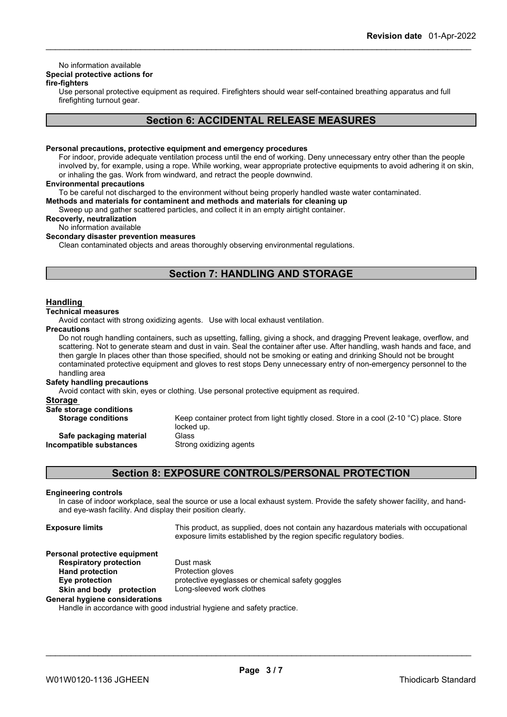### No information available

### **Special protective actions for**

### **fire-fighters**

Use personal protective equipment as required.Firefighters should wear self-contained breathing apparatus and full firefighting turnout gear.

### **Section 6: ACCIDENTAL RELEASE MEASURES**

#### **Personal precautions, protective equipment and emergency procedures**

For indoor, provide adequate ventilation process until the end of working. Deny unnecessary entry other than the people involved by, for example, using a rope. While working, wear appropriate protective equipments to avoid adhering it on skin, or inhaling the gas. Work from windward, and retract the people downwind.

#### **Environmental precautions**

To be careful not discharged to the environment without being properly handled waste water contaminated.

**Methods and materials for contaminent and methods and materials for cleaning up**

Sweep up and gather scattered particles, and collect it in an empty airtight container.

### **Recoverly, neutralization**

No information available

### **Secondary disaster prevention measures**

Clean contaminated objects and areas thoroughly observing environmental regulations.

### **Section 7: HANDLING AND STORAGE**

### **Handling**

### **Technical measures**

Avoid contact with strong oxidizing agents. Use with local exhaust ventilation.

#### **Precautions**

Do not rough handling containers, such as upsetting, falling, giving a shock, and dragging Prevent leakage, overflow, and scattering. Not to generate steam and dust in vain. Seal the container after use. After handling, wash hands and face, and then gargle In places other than those specified, should not be smoking or eating and drinking Should not be brought contaminated protective equipment and gloves to rest stops Deny unnecessary entry of non-emergency personnel to the handling area

### **Safety handling precautions**

Avoid contact with skin, eyes or clothing. Use personal protective equipment as required.

| Storage                                            |                                                                                                                  |
|----------------------------------------------------|------------------------------------------------------------------------------------------------------------------|
| Safe storage conditions                            |                                                                                                                  |
| <b>Storage conditions</b>                          | Keep container protect from light tightly closed. Store in a cool (2-10 $^{\circ}$ C) place. Store<br>locked up. |
| Safe packaging material<br>Incompatible substances | Glass<br>Strong oxidizing agents                                                                                 |
|                                                    |                                                                                                                  |

### **Section 8: EXPOSURE CONTROLS/PERSONAL PROTECTION**

### **Engineering controls**

In case of indoorworkplace, seal the source or use a local exhaust system. Provide the safety shower facility, and hand and eye-wash facility. And display their position clearly.

| <b>Exposure limits</b>                | This product, as supplied, does not contain any hazardous materials with occupational<br>exposure limits established by the region specific regulatory bodies. |
|---------------------------------------|----------------------------------------------------------------------------------------------------------------------------------------------------------------|
| Personal protective equipment         |                                                                                                                                                                |
| <b>Respiratory protection</b>         | Dust mask                                                                                                                                                      |
| <b>Hand protection</b>                | Protection gloves                                                                                                                                              |
| Eye protection                        | protective eyeglasses or chemical safety goggles                                                                                                               |
| Skin and body<br>protection           | Long-sleeved work clothes                                                                                                                                      |
| <b>General hygiene considerations</b> | Handle in cooordange with good industrial bygione and optaty prostige                                                                                          |

Handle in accordance with good industrial hygiene and safety practice.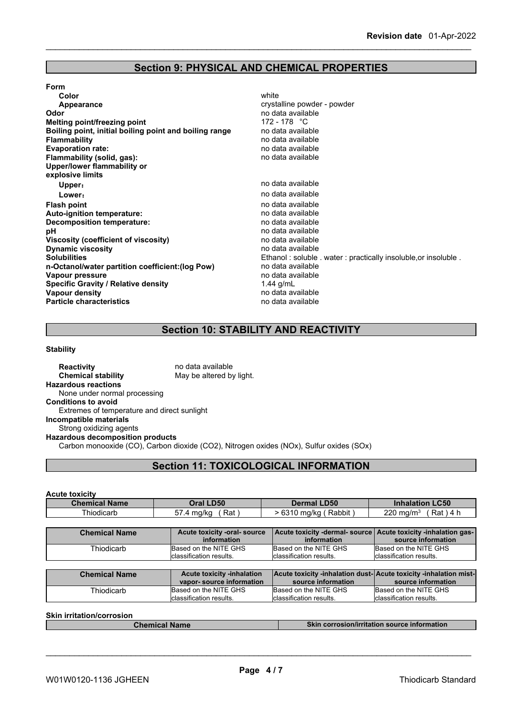# **Section 9: PHYSICAL AND CHEMICAL PROPERTIES**

| <b>Form</b>                                            |                                                                |
|--------------------------------------------------------|----------------------------------------------------------------|
| Color                                                  | white                                                          |
| Appearance                                             | crystalline powder - powder                                    |
| Odor                                                   | no data available                                              |
| Melting point/freezing point                           | 172 - 178 $\degree$ C                                          |
| Boiling point, initial boiling point and boiling range | no data available                                              |
| <b>Flammability</b>                                    | no data available                                              |
| <b>Evaporation rate:</b>                               | no data available                                              |
| Flammability (solid, gas):                             | no data available                                              |
| Upper/lower flammability or                            |                                                                |
| explosive limits                                       |                                                                |
| Upper:                                                 | no data available                                              |
| Lower:                                                 | no data available                                              |
| <b>Flash point</b>                                     | no data available                                              |
| Auto-ignition temperature:                             | no data available                                              |
| Decomposition temperature:                             | no data available                                              |
| рH                                                     | no data available                                              |
| Viscosity (coefficient of viscosity)                   | no data available                                              |
| <b>Dynamic viscosity</b>                               | no data available                                              |
| <b>Solubilities</b>                                    | Ethanol: soluble . water: practically insoluble, or insoluble. |
| n-Octanol/water partition coefficient: (log Pow)       | no data available                                              |
| Vapour pressure                                        | no data available                                              |
| <b>Specific Gravity / Relative density</b>             | 1.44 g/mL                                                      |
| Vapour density                                         | no data available                                              |
| <b>Particle characteristics</b>                        | no data available                                              |
|                                                        |                                                                |

# **Section 10: STABILITY AND REACTIVITY**

### **Stability**

| <b>Reactivity</b>                           | no data available                                                                       |
|---------------------------------------------|-----------------------------------------------------------------------------------------|
| <b>Chemical stability</b>                   | May be altered by light.                                                                |
| <b>Hazardous reactions</b>                  |                                                                                         |
| None under normal processing                |                                                                                         |
| <b>Conditions to avoid</b>                  |                                                                                         |
| Extremes of temperature and direct sunlight |                                                                                         |
| Incompatible materials                      |                                                                                         |
| Strong oxidizing agents                     |                                                                                         |
| <b>Hazardous decomposition products</b>     |                                                                                         |
|                                             | Carbon monooxide (CO), Carbon dioxide (CO2), Nitrogen oxides (NOx), Sulfur oxides (SOx) |
|                                             |                                                                                         |

# **Section 11: TOXICOLOGICAL INFORMATION**

### **Acute toxicity**

| <b>Chemical Name</b> | <b>Oral LD50</b>                                       | <b>Dermal LD50</b>                                | <b>Inhalation LC50</b>                                                                   |
|----------------------|--------------------------------------------------------|---------------------------------------------------|------------------------------------------------------------------------------------------|
| Thiodicarb           | Rat)<br>57.4 mg/kg                                     | > 6310 mg/kg (Rabbit)                             | Rat ) 4 h<br>$220 \; \text{mg/m}^3$                                                      |
|                      |                                                        |                                                   |                                                                                          |
| <b>Chemical Name</b> | Acute toxicity -oral- source<br><b>information</b>     | information                                       | Acute toxicity -dermal- source   Acute toxicity -inhalation gas-  <br>source information |
| Thiodicarb           | Based on the NITE GHS<br>Iclassification results.      | Based on the NITE GHS<br>classification results.  | Based on the NITE GHS<br>classification results.                                         |
| <b>Chemical Name</b> | Acute toxicity -inhalation<br>vapor-source information | source information                                | Acute toxicity -inhalation dust- Acute toxicity -inhalation mist-<br>source information  |
| Thiodicarb           | Based on the NITE GHS<br>classification results.       | Based on the NITE GHS<br>Iclassification results. | Based on the NITE GHS<br>classification results.                                         |

|--|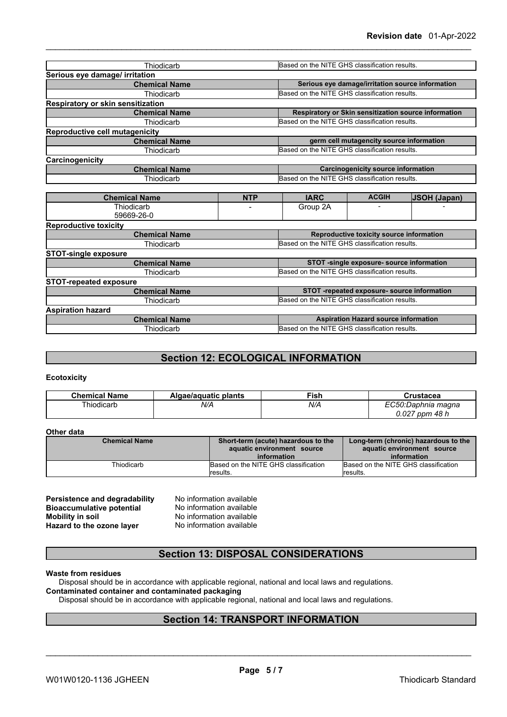| Thiodicarb                            |            |                                               | Based on the NITE GHS classification results. |                                                      |  |
|---------------------------------------|------------|-----------------------------------------------|-----------------------------------------------|------------------------------------------------------|--|
| Serious eye damage/ irritation        |            |                                               |                                               |                                                      |  |
| <b>Chemical Name</b>                  |            |                                               |                                               | Serious eye damage/irritation source information     |  |
| Thiodicarb                            |            | Based on the NITE GHS classification results. |                                               |                                                      |  |
| Respiratory or skin sensitization     |            |                                               |                                               |                                                      |  |
| <b>Chemical Name</b>                  |            |                                               |                                               | Respiratory or Skin sensitization source information |  |
| Thiodicarb                            |            |                                               | Based on the NITE GHS classification results. |                                                      |  |
| <b>Reproductive cell mutagenicity</b> |            |                                               |                                               |                                                      |  |
| <b>Chemical Name</b>                  |            |                                               | germ cell mutagencity source information      |                                                      |  |
| Thiodicarb                            |            |                                               | Based on the NITE GHS classification results. |                                                      |  |
| Carcinogenicity                       |            |                                               |                                               |                                                      |  |
| <b>Chemical Name</b>                  |            | <b>Carcinogenicity source information</b>     |                                               |                                                      |  |
| Thiodicarb                            |            | Based on the NITE GHS classification results. |                                               |                                                      |  |
|                                       |            |                                               |                                               |                                                      |  |
| <b>Chemical Name</b>                  | <b>NTP</b> | <b>IARC</b>                                   | <b>ACGIH</b>                                  | <b>JSOH (Japan)</b>                                  |  |
| Thiodicarb                            |            | Group 2A                                      | $\overline{a}$                                |                                                      |  |

| 59669-26-0                    |                                               |
|-------------------------------|-----------------------------------------------|
| <b>Reproductive toxicity</b>  |                                               |
| <b>Chemical Name</b>          | Reproductive toxicity source information      |
| Thiodicarb                    | Based on the NITE GHS classification results. |
| <b>STOT-single exposure</b>   |                                               |
| <b>Chemical Name</b>          | STOT -single exposure- source information     |
| Thiodicarb                    | Based on the NITE GHS classification results. |
| <b>STOT-repeated exposure</b> |                                               |
| <b>Chemical Name</b>          | STOT-repeated exposure- source information    |
| Thiodicarb                    | Based on the NITE GHS classification results. |
| <b>Aspiration hazard</b>      |                                               |
| <b>Chemical Name</b>          | <b>Aspiration Hazard source information</b>   |
| Thiodicarb                    | Based on the NITE GHS classification results. |
|                               |                                               |

### **Section 12: ECOLOGICAL INFORMATION**

### **Ecotoxicity**

| <b>Chemical Name</b> | Algae/aquatic plants | ∃ish | ˈustacea               |
|----------------------|----------------------|------|------------------------|
| . .<br>`hiodicarL    | N/A                  | N/A  | ):Daphnia magna<br>. . |
|                      |                      |      | 0.027<br>48 h<br>ppm   |

### **Other data**

| <b>Chemical Name</b> | Short-term (acute) hazardous to the<br>aquatic environment source | Long-term (chronic) hazardous to the<br>aquatic environment source |
|----------------------|-------------------------------------------------------------------|--------------------------------------------------------------------|
| Thiodicarb           | information<br>Based on the NITE GHS classification               | information<br>Based on the NITE GHS classification                |
|                      | lresults.                                                         | lresults.                                                          |

| Persistence and degradability    | No inform |
|----------------------------------|-----------|
| <b>Bioaccumulative potential</b> | No inform |
| <b>Mobility in soil</b>          | No inform |
| Hazard to the ozone layer        | No inform |

**Parability and a** mation available **Mobility in soil** No information available **Hazard to the ozone layer** No information available

### **Section 13: DISPOSAL CONSIDERATIONS**

### **Waste from residues**

Disposal should be in accordance with applicable regional, national and local laws and regulations.

### **Contaminated container and contaminated packaging**

Disposal should be in accordance with applicable regional, national and local laws and regulations.

### **Section 14: TRANSPORT INFORMATION**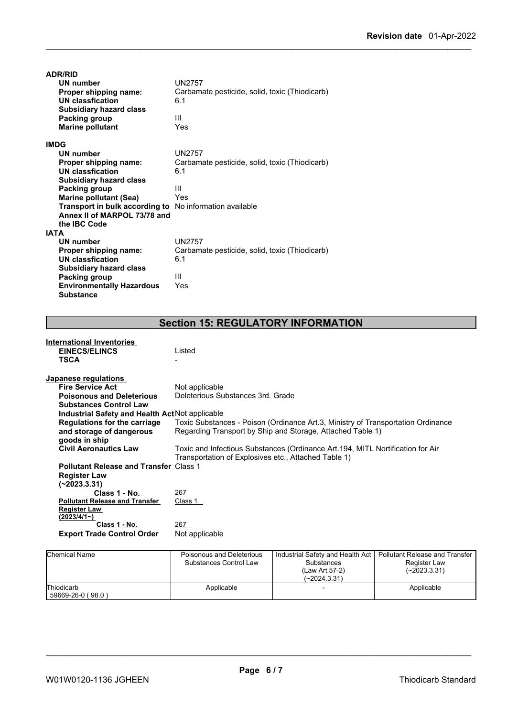| <b>ADR/RID</b>                                          |                                                |
|---------------------------------------------------------|------------------------------------------------|
| UN number                                               | <b>UN2757</b>                                  |
| Proper shipping name:                                   | Carbamate pesticide, solid, toxic (Thiodicarb) |
| UN classfication                                        | 6.1                                            |
| <b>Subsidiary hazard class</b>                          |                                                |
| Packing group                                           | Ш                                              |
| <b>Marine pollutant</b>                                 | Yes                                            |
| <b>IMDG</b>                                             |                                                |
| <b>UN number</b>                                        | UN2757                                         |
| Proper shipping name:                                   | Carbamate pesticide, solid, toxic (Thiodicarb) |
| <b>UN classfication</b>                                 | 6.1                                            |
| <b>Subsidiary hazard class</b>                          |                                                |
| Packing group                                           | Ш                                              |
| <b>Marine pollutant (Sea)</b>                           | Yes                                            |
| Transport in bulk according to No information available |                                                |
| Annex II of MARPOL 73/78 and                            |                                                |
| the IBC Code                                            |                                                |
| <b>IATA</b>                                             |                                                |
| <b>UN number</b>                                        | <b>UN2757</b>                                  |
| Proper shipping name:                                   | Carbamate pesticide, solid, toxic (Thiodicarb) |
| <b>UN classfication</b>                                 | 6.1                                            |
| <b>Subsidiary hazard class</b>                          |                                                |
| Packing group                                           | Ш                                              |
| <b>Environmentally Hazardous</b>                        | Yes                                            |
| <b>Substance</b>                                        |                                                |

# **Section 15: REGULATORY INFORMATION**

| <b>International Inventories</b>                |                                                                                  |
|-------------------------------------------------|----------------------------------------------------------------------------------|
| <b>EINECS/ELINCS</b>                            | Listed                                                                           |
| <b>TSCA</b>                                     |                                                                                  |
|                                                 |                                                                                  |
| Japanese regulations                            |                                                                                  |
| <b>Fire Service Act</b>                         | Not applicable                                                                   |
| <b>Poisonous and Deleterious</b>                | Deleterious Substances 3rd. Grade                                                |
| <b>Substances Control Law</b>                   |                                                                                  |
| Industrial Safety and Health Act Not applicable |                                                                                  |
| Regulations for the carriage                    | Toxic Substances - Poison (Ordinance Art.3, Ministry of Transportation Ordinance |
| and storage of dangerous                        | Regarding Transport by Ship and Storage, Attached Table 1)                       |
| goods in ship                                   |                                                                                  |
| <b>Civil Aeronautics Law</b>                    | Toxic and Infectious Substances (Ordinance Art. 194, MITL Nortification for Air  |
|                                                 | Transportation of Explosives etc., Attached Table 1)                             |
| <b>Pollutant Release and Transfer Class 1</b>   |                                                                                  |
|                                                 |                                                                                  |
| <b>Register Law</b>                             |                                                                                  |
| (~2023.3.31)                                    |                                                                                  |
| Class 1 - No.                                   | 267                                                                              |
| <b>Pollutant Release and Transfer</b>           | Class 1                                                                          |
| Register Law                                    |                                                                                  |
| $(2023/4/1-)$                                   |                                                                                  |
| Class 1 - No.                                   | 267                                                                              |
| <b>Export Trade Control Order</b>               | Not applicable                                                                   |
|                                                 |                                                                                  |

| <b>Chemical Name</b>            | Poisonous and Deleterious<br>Substances Control Law | Industrial Safety and Health Act  <br><b>Substances</b><br>(Law Art.57-2)<br>$(-2024.3.31)$ | Pollutant Release and Transfer<br>Register Law<br>(~2023.3.31) |  |
|---------------------------------|-----------------------------------------------------|---------------------------------------------------------------------------------------------|----------------------------------------------------------------|--|
| Thiodicarb<br>59669-26-0 (98.0) | Applicable                                          |                                                                                             | Applicable                                                     |  |